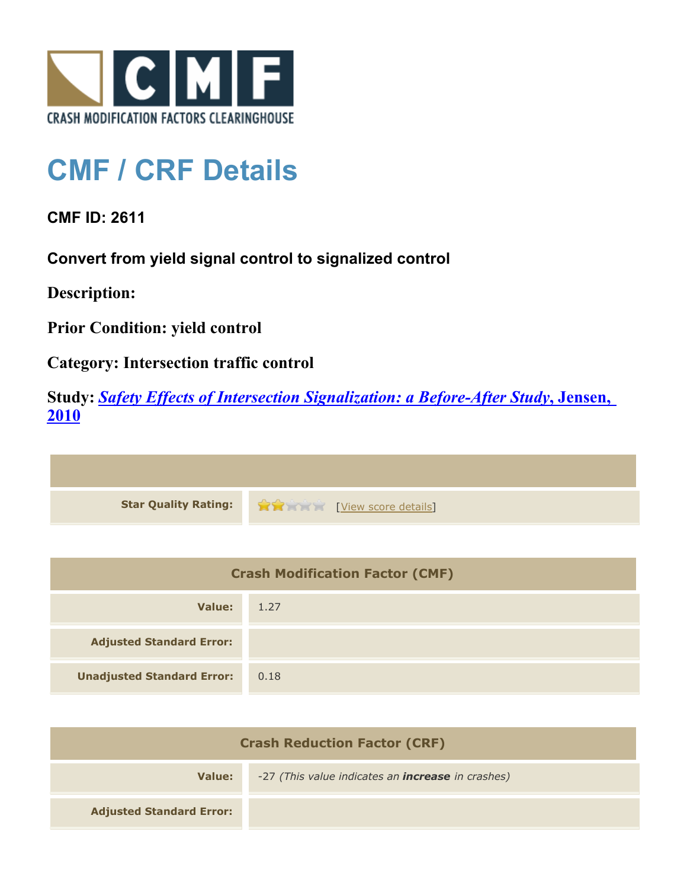

## **CMF / CRF Details**

**CMF ID: 2611**

**Convert from yield signal control to signalized control**

**Description:** 

**Prior Condition: yield control**

**Category: Intersection traffic control**

**Study:** *[Safety Effects of Intersection Signalization: a Before-After Study](http://www.cmfclearinghouse.org/study_detail.cfm?stid=170)***[, Jensen,](http://www.cmfclearinghouse.org/study_detail.cfm?stid=170) [2010](http://www.cmfclearinghouse.org/study_detail.cfm?stid=170)**



| <b>Crash Modification Factor (CMF)</b> |      |
|----------------------------------------|------|
| Value:                                 | 1.27 |
| <b>Adjusted Standard Error:</b>        |      |
| <b>Unadjusted Standard Error:</b>      | 0.18 |

| <b>Crash Reduction Factor (CRF)</b> |                                                          |
|-------------------------------------|----------------------------------------------------------|
| Value:                              | -27 (This value indicates an <b>increase</b> in crashes) |
| <b>Adjusted Standard Error:</b>     |                                                          |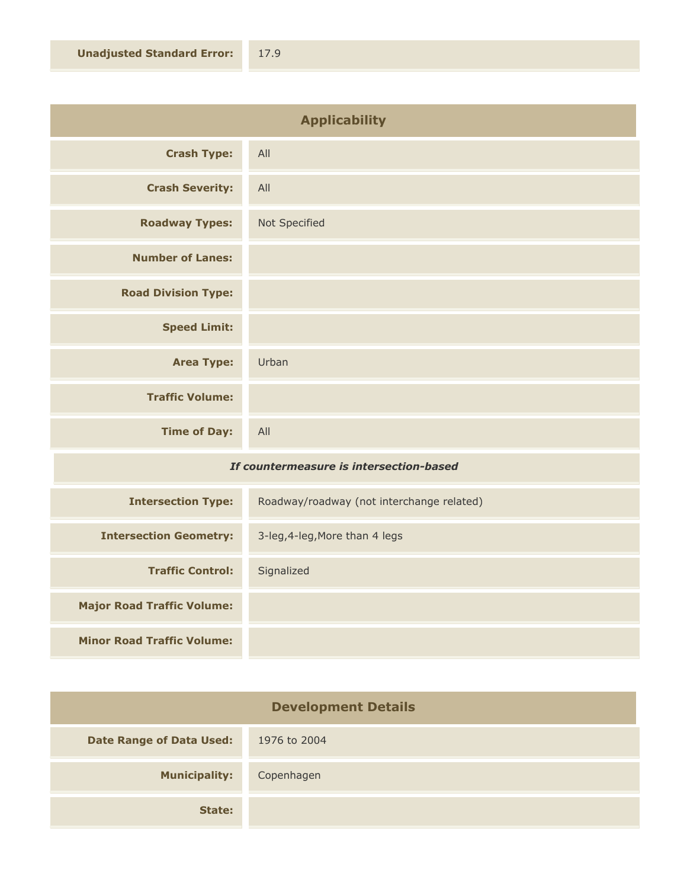| <b>Applicability</b>       |               |
|----------------------------|---------------|
| <b>Crash Type:</b>         | All           |
| <b>Crash Severity:</b>     | All           |
| <b>Roadway Types:</b>      | Not Specified |
| <b>Number of Lanes:</b>    |               |
| <b>Road Division Type:</b> |               |
| <b>Speed Limit:</b>        |               |
| <b>Area Type:</b>          | Urban         |
| <b>Traffic Volume:</b>     |               |
| <b>Time of Day:</b>        | All           |
|                            |               |

## *If countermeasure is intersection-based*

| <b>Intersection Type:</b>         | Roadway/roadway (not interchange related) |
|-----------------------------------|-------------------------------------------|
| <b>Intersection Geometry:</b>     | 3-leg, 4-leg, More than 4 legs            |
| <b>Traffic Control:</b>           | Signalized                                |
| <b>Major Road Traffic Volume:</b> |                                           |
| <b>Minor Road Traffic Volume:</b> |                                           |

| <b>Development Details</b>      |              |
|---------------------------------|--------------|
| <b>Date Range of Data Used:</b> | 1976 to 2004 |
| <b>Municipality:</b>            | Copenhagen   |
| State:                          |              |